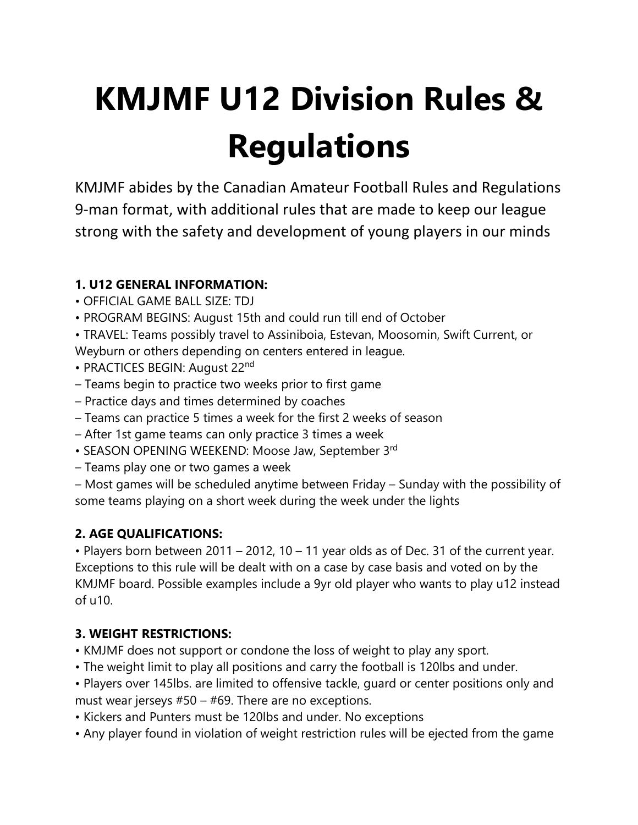# **KMJMF U12 Division Rules & Regulations**

KMJMF abides by the Canadian Amateur Football Rules and Regulations 9-man format, with additional rules that are made to keep our league strong with the safety and development of young players in our minds

## **1. U12 GENERAL INFORMATION:**

- OFFICIAL GAME BALL SIZE: TDJ
- PROGRAM BEGINS: August 15th and could run till end of October

• TRAVEL: Teams possibly travel to Assiniboia, Estevan, Moosomin, Swift Current, or Weyburn or others depending on centers entered in league.

- PRACTICES BEGIN: August 22<sup>nd</sup>
- Teams begin to practice two weeks prior to first game
- Practice days and times determined by coaches
- Teams can practice 5 times a week for the first 2 weeks of season
- After 1st game teams can only practice 3 times a week
- SEASON OPENING WEEKEND: Moose Jaw, September 3rd
- Teams play one or two games a week

– Most games will be scheduled anytime between Friday – Sunday with the possibility of some teams playing on a short week during the week under the lights

#### **2. AGE QUALIFICATIONS:**

• Players born between 2011 – 2012, 10 – 11 year olds as of Dec. 31 of the current year. Exceptions to this rule will be dealt with on a case by case basis and voted on by the KMJMF board. Possible examples include a 9yr old player who wants to play u12 instead of u10.

#### **3. WEIGHT RESTRICTIONS:**

- KMJMF does not support or condone the loss of weight to play any sport.
- The weight limit to play all positions and carry the football is 120lbs and under.
- Players over 145lbs. are limited to offensive tackle, guard or center positions only and must wear jerseys #50 – #69. There are no exceptions.
- Kickers and Punters must be 120lbs and under. No exceptions
- Any player found in violation of weight restriction rules will be ejected from the game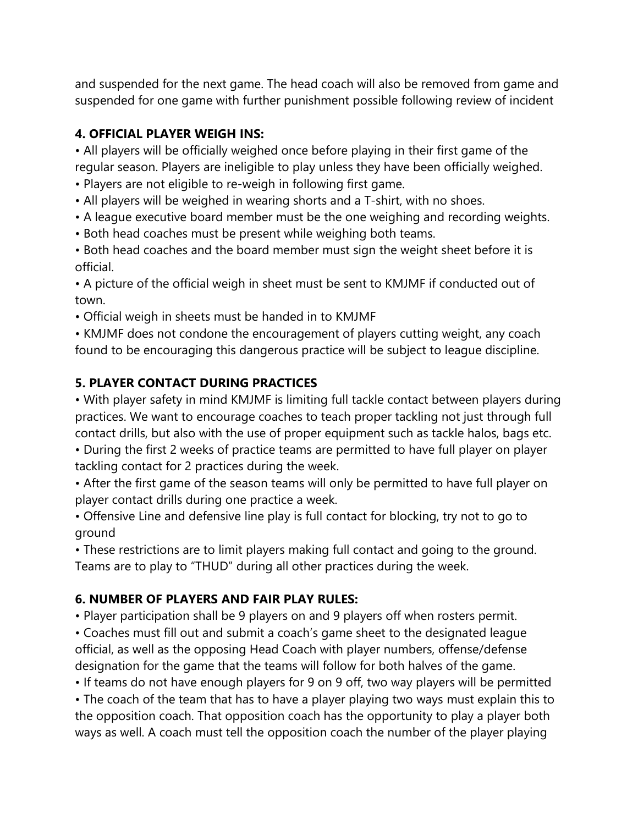and suspended for the next game. The head coach will also be removed from game and suspended for one game with further punishment possible following review of incident

#### **4. OFFICIAL PLAYER WEIGH INS:**

• All players will be officially weighed once before playing in their first game of the regular season. Players are ineligible to play unless they have been officially weighed.

- Players are not eligible to re-weigh in following first game.
- All players will be weighed in wearing shorts and a T-shirt, with no shoes.
- A league executive board member must be the one weighing and recording weights.
- Both head coaches must be present while weighing both teams.

• Both head coaches and the board member must sign the weight sheet before it is official.

• A picture of the official weigh in sheet must be sent to KMJMF if conducted out of town.

• Official weigh in sheets must be handed in to KMJMF

• KMJMF does not condone the encouragement of players cutting weight, any coach found to be encouraging this dangerous practice will be subject to league discipline.

#### **5. PLAYER CONTACT DURING PRACTICES**

• With player safety in mind KMJMF is limiting full tackle contact between players during practices. We want to encourage coaches to teach proper tackling not just through full contact drills, but also with the use of proper equipment such as tackle halos, bags etc.

• During the first 2 weeks of practice teams are permitted to have full player on player tackling contact for 2 practices during the week.

• After the first game of the season teams will only be permitted to have full player on player contact drills during one practice a week.

• Offensive Line and defensive line play is full contact for blocking, try not to go to ground

• These restrictions are to limit players making full contact and going to the ground. Teams are to play to "THUD" during all other practices during the week.

#### **6. NUMBER OF PLAYERS AND FAIR PLAY RULES:**

• Player participation shall be 9 players on and 9 players off when rosters permit.

• Coaches must fill out and submit a coach's game sheet to the designated league official, as well as the opposing Head Coach with player numbers, offense/defense designation for the game that the teams will follow for both halves of the game.

• If teams do not have enough players for 9 on 9 off, two way players will be permitted

• The coach of the team that has to have a player playing two ways must explain this to the opposition coach. That opposition coach has the opportunity to play a player both ways as well. A coach must tell the opposition coach the number of the player playing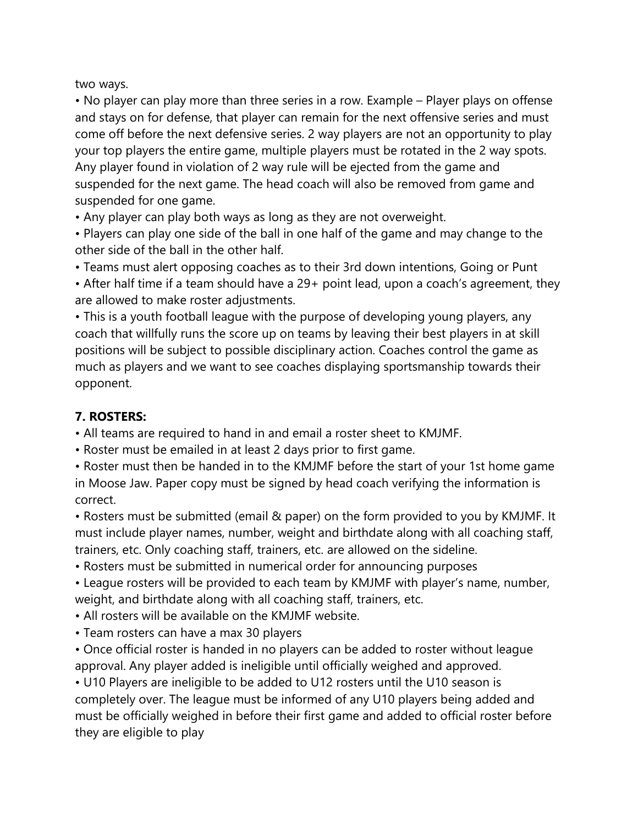two ways.

• No player can play more than three series in a row. Example – Player plays on offense and stays on for defense, that player can remain for the next offensive series and must come off before the next defensive series. 2 way players are not an opportunity to play your top players the entire game, multiple players must be rotated in the 2 way spots. Any player found in violation of 2 way rule will be ejected from the game and suspended for the next game. The head coach will also be removed from game and suspended for one game.

• Any player can play both ways as long as they are not overweight.

• Players can play one side of the ball in one half of the game and may change to the other side of the ball in the other half.

• Teams must alert opposing coaches as to their 3rd down intentions, Going or Punt

• After half time if a team should have a 29+ point lead, upon a coach's agreement, they are allowed to make roster adjustments.

• This is a youth football league with the purpose of developing young players, any coach that willfully runs the score up on teams by leaving their best players in at skill positions will be subject to possible disciplinary action. Coaches control the game as much as players and we want to see coaches displaying sportsmanship towards their opponent.

## **7. ROSTERS:**

• All teams are required to hand in and email a roster sheet to KMJMF.

• Roster must be emailed in at least 2 days prior to first game.

• Roster must then be handed in to the KMJMF before the start of your 1st home game in Moose Jaw. Paper copy must be signed by head coach verifying the information is correct.

• Rosters must be submitted (email & paper) on the form provided to you by KMJMF. It must include player names, number, weight and birthdate along with all coaching staff, trainers, etc. Only coaching staff, trainers, etc. are allowed on the sideline.

• Rosters must be submitted in numerical order for announcing purposes

• League rosters will be provided to each team by KMJMF with player's name, number, weight, and birthdate along with all coaching staff, trainers, etc.

• All rosters will be available on the KMJMF website.

• Team rosters can have a max 30 players

• Once official roster is handed in no players can be added to roster without league approval. Any player added is ineligible until officially weighed and approved.

• U10 Players are ineligible to be added to U12 rosters until the U10 season is completely over. The league must be informed of any U10 players being added and must be officially weighed in before their first game and added to official roster before they are eligible to play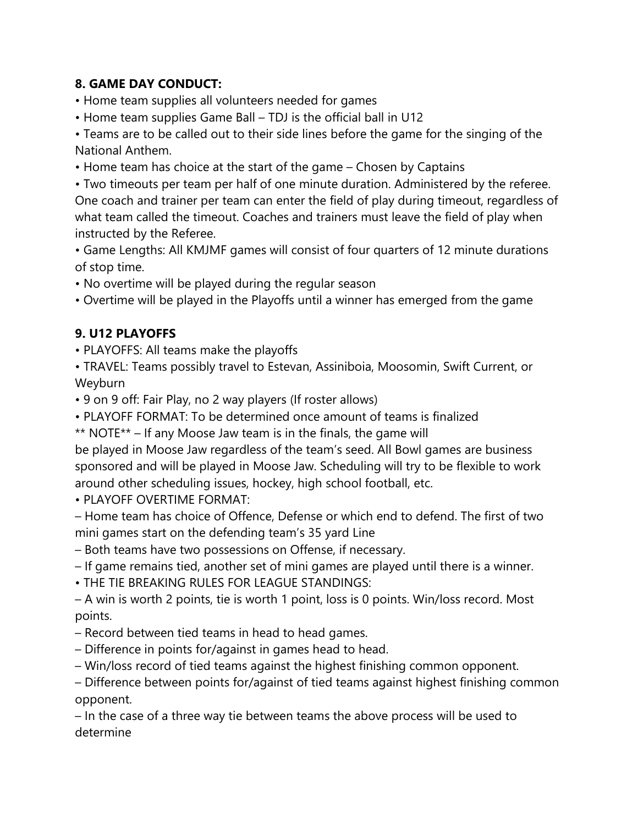#### **8. GAME DAY CONDUCT:**

- Home team supplies all volunteers needed for games
- Home team supplies Game Ball TDJ is the official ball in U12

• Teams are to be called out to their side lines before the game for the singing of the National Anthem.

• Home team has choice at the start of the game – Chosen by Captains

• Two timeouts per team per half of one minute duration. Administered by the referee. One coach and trainer per team can enter the field of play during timeout, regardless of what team called the timeout. Coaches and trainers must leave the field of play when instructed by the Referee.

• Game Lengths: All KMJMF games will consist of four quarters of 12 minute durations of stop time.

• No overtime will be played during the regular season

• Overtime will be played in the Playoffs until a winner has emerged from the game

#### **9. U12 PLAYOFFS**

• PLAYOFFS: All teams make the playoffs

• TRAVEL: Teams possibly travel to Estevan, Assiniboia, Moosomin, Swift Current, or Weyburn

• 9 on 9 off: Fair Play, no 2 way players (If roster allows)

• PLAYOFF FORMAT: To be determined once amount of teams is finalized

\*\* NOTE\*\* – If any Moose Jaw team is in the finals, the game will

be played in Moose Jaw regardless of the team's seed. All Bowl games are business sponsored and will be played in Moose Jaw. Scheduling will try to be flexible to work around other scheduling issues, hockey, high school football, etc.

• PLAYOFF OVERTIME FORMAT:

– Home team has choice of Offence, Defense or which end to defend. The first of two mini games start on the defending team's 35 yard Line

– Both teams have two possessions on Offense, if necessary.

– If game remains tied, another set of mini games are played until there is a winner.

• THE TIE BREAKING RULES FOR LEAGUE STANDINGS:

– A win is worth 2 points, tie is worth 1 point, loss is 0 points. Win/loss record. Most points.

- Record between tied teams in head to head games.
- Difference in points for/against in games head to head.

– Win/loss record of tied teams against the highest finishing common opponent.

– Difference between points for/against of tied teams against highest finishing common opponent.

– In the case of a three way tie between teams the above process will be used to determine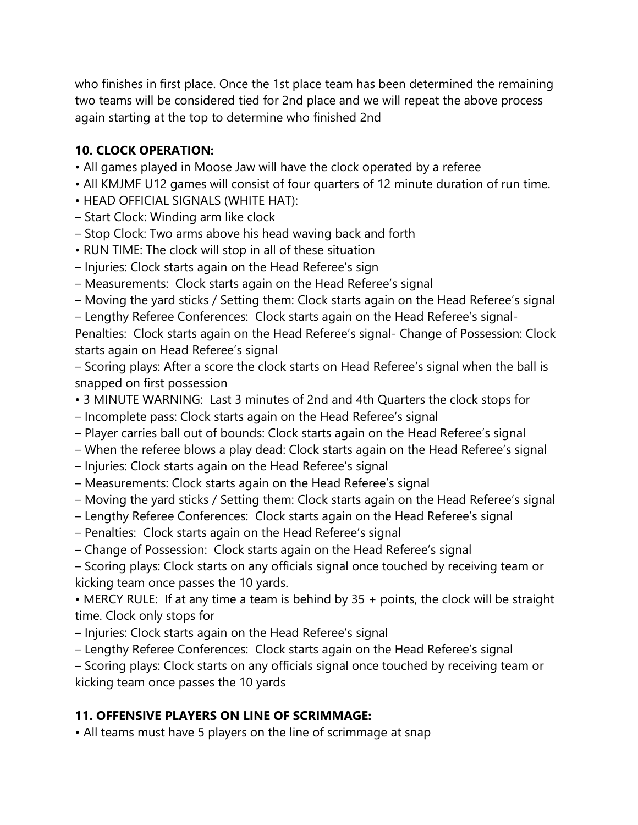who finishes in first place. Once the 1st place team has been determined the remaining two teams will be considered tied for 2nd place and we will repeat the above process again starting at the top to determine who finished 2nd

## **10. CLOCK OPERATION:**

- All games played in Moose Jaw will have the clock operated by a referee
- All KMJMF U12 games will consist of four quarters of 12 minute duration of run time.
- HEAD OFFICIAL SIGNALS (WHITE HAT):
- Start Clock: Winding arm like clock
- Stop Clock: Two arms above his head waving back and forth
- RUN TIME: The clock will stop in all of these situation
- Injuries: Clock starts again on the Head Referee's sign
- Measurements: Clock starts again on the Head Referee's signal
- Moving the yard sticks / Setting them: Clock starts again on the Head Referee's signal
- Lengthy Referee Conferences: Clock starts again on the Head Referee's signal -

Penalties: Clock starts again on the Head Referee's signal- Change of Possession: Clock starts again on Head Referee's signal

– Scoring plays: After a score the clock starts on Head Referee's signal when the ball is snapped on first possession

- 3 MINUTE WARNING: Last 3 minutes of 2nd and 4th Quarters the clock stops for
- Incomplete pass: Clock starts again on the Head Referee's signal
- Player carries ball out of bounds: Clock starts again on the Head Referee's signal
- When the referee blows a play dead: Clock starts again on the Head Referee's signal
- Injuries: Clock starts again on the Head Referee's signal
- Measurements: Clock starts again on the Head Referee's signal
- Moving the yard sticks / Setting them: Clock starts again on the Head Referee's signal
- Lengthy Referee Conferences: Clock starts again on the Head Referee's signal
- Penalties: Clock starts again on the Head Referee's signal
- Change of Possession: Clock starts again on the Head Referee's signal

– Scoring plays: Clock starts on any officials signal once touched by receiving team or kicking team once passes the 10 yards.

• MERCY RULE: If at any time a team is behind by 35 + points, the clock will be straight time. Clock only stops for

– Injuries: Clock starts again on the Head Referee's signal

– Lengthy Referee Conferences: Clock starts again on the Head Referee's signal

– Scoring plays: Clock starts on any officials signal once touched by receiving team or kicking team once passes the 10 yards

# **11. OFFENSIVE PLAYERS ON LINE OF SCRIMMAGE:**

• All teams must have 5 players on the line of scrimmage at snap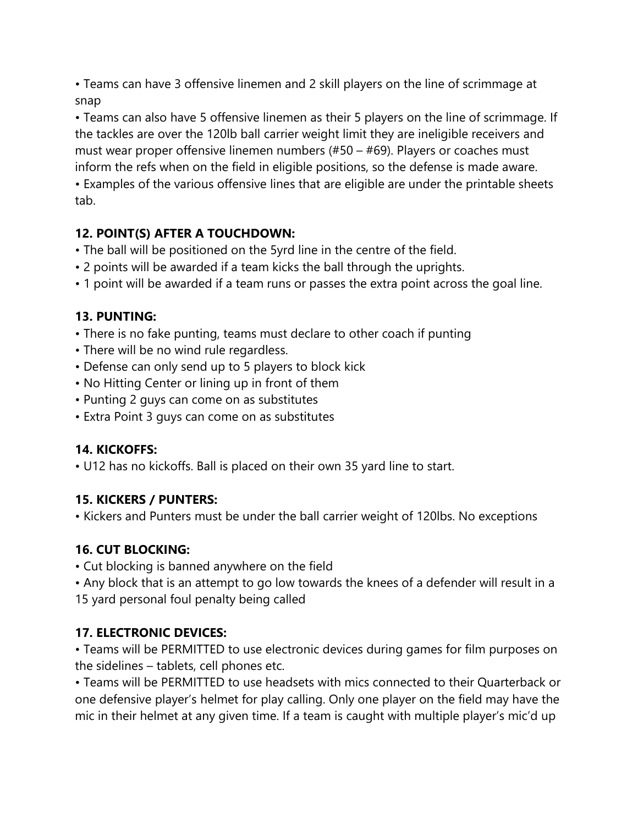• Teams can have 3 offensive linemen and 2 skill players on the line of scrimmage at snap

• Teams can also have 5 offensive linemen as their 5 players on the line of scrimmage. If the tackles are over the 120lb ball carrier weight limit they are ineligible receivers and must wear proper offensive linemen numbers (#50 – #69). Players or coaches must inform the refs when on the field in eligible positions, so the defense is made aware.

• Examples of the various offensive lines that are eligible are under the printable sheets tab.

## **12. POINT(S) AFTER A TOUCHDOWN:**

- The ball will be positioned on the 5yrd line in the centre of the field.
- 2 points will be awarded if a team kicks the ball through the uprights.
- 1 point will be awarded if a team runs or passes the extra point across the goal line.

#### **13. PUNTING:**

- There is no fake punting, teams must declare to other coach if punting
- There will be no wind rule regardless.
- Defense can only send up to 5 players to block kick
- No Hitting Center or lining up in front of them
- Punting 2 guys can come on as substitutes
- Extra Point 3 guys can come on as substitutes

#### **14. KICKOFFS:**

• U12 has no kickoffs. Ball is placed on their own 35 yard line to start.

#### **15. KICKERS / PUNTERS:**

• Kickers and Punters must be under the ball carrier weight of 120lbs. No exceptions

# **16. CUT BLOCKING:**

- Cut blocking is banned anywhere on the field
- Any block that is an attempt to go low towards the knees of a defender will result in a 15 yard personal foul penalty being called

#### **17. ELECTRONIC DEVICES:**

• Teams will be PERMITTED to use electronic devices during games for film purposes on the sidelines – tablets, cell phones etc.

• Teams will be PERMITTED to use headsets with mics connected to their Quarterback or one defensive player's helmet for play calling. Only one player on the field may have the mic in their helmet at any given time. If a team is caught with multiple player's mic'd up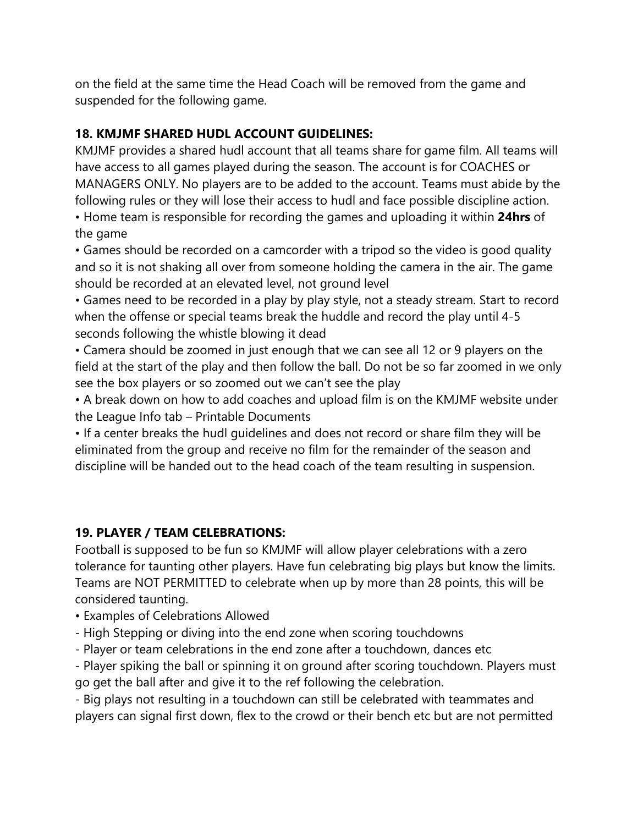on the field at the same time the Head Coach will be removed from the game and suspended for the following game.

#### **18. KMJMF SHARED HUDL ACCOUNT GUIDELINES:**

KMJMF provides a shared hudl account that all teams share for game film. All teams will have access to all games played during the season. The account is for COACHES or MANAGERS ONLY. No players are to be added to the account. Teams must abide by the following rules or they will lose their access to hudl and face possible discipline action.

• Home team is responsible for recording the games and uploading it within **24hrs** of the game

• Games should be recorded on a camcorder with a tripod so the video is good quality and so it is not shaking all over from someone holding the camera in the air. The game should be recorded at an elevated level, not ground level

• Games need to be recorded in a play by play style, not a steady stream. Start to record when the offense or special teams break the huddle and record the play until 4-5 seconds following the whistle blowing it dead

• Camera should be zoomed in just enough that we can see all 12 or 9 players on the field at the start of the play and then follow the ball. Do not be so far zoomed in we only see the box players or so zoomed out we can't see the play

• A break down on how to add coaches and upload film is on the KMJMF website under the League Info tab – Printable Documents

• If a center breaks the hudl guidelines and does not record or share film they will be eliminated from the group and receive no film for the remainder of the season and discipline will be handed out to the head coach of the team resulting in suspension.

#### **19. PLAYER / TEAM CELEBRATIONS:**

Football is supposed to be fun so KMJMF will allow player celebrations with a zero tolerance for taunting other players. Have fun celebrating big plays but know the limits. Teams are NOT PERMITTED to celebrate when up by more than 28 points, this will be considered taunting.

- Examples of Celebrations Allowed
- High Stepping or diving into the end zone when scoring touchdowns
- Player or team celebrations in the end zone after a touchdown, dances etc

- Player spiking the ball or spinning it on ground after scoring touchdown. Players must go get the ball after and give it to the ref following the celebration.

- Big plays not resulting in a touchdown can still be celebrated with teammates and players can signal first down, flex to the crowd or their bench etc but are not permitted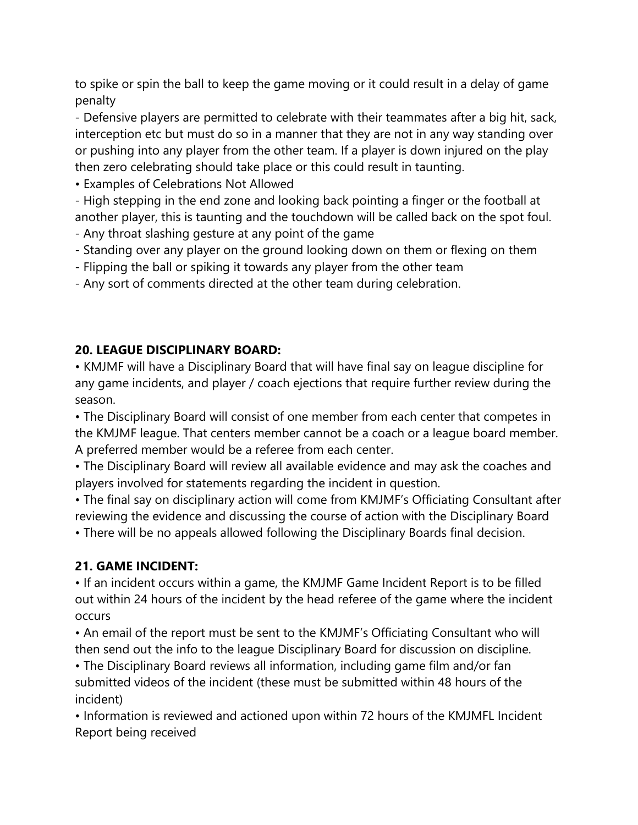to spike or spin the ball to keep the game moving or it could result in a delay of game penalty

- Defensive players are permitted to celebrate with their teammates after a big hit, sack, interception etc but must do so in a manner that they are not in any way standing over or pushing into any player from the other team. If a player is down injured on the play then zero celebrating should take place or this could result in taunting.

• Examples of Celebrations Not Allowed

- High stepping in the end zone and looking back pointing a finger or the football at another player, this is taunting and the touchdown will be called back on the spot foul.

- Any throat slashing gesture at any point of the game
- Standing over any player on the ground looking down on them or flexing on them
- Flipping the ball or spiking it towards any player from the other team
- Any sort of comments directed at the other team during celebration.

# **20. LEAGUE DISCIPLINARY BOARD:**

• KMJMF will have a Disciplinary Board that will have final say on league discipline for any game incidents, and player / coach ejections that require further review during the season.

• The Disciplinary Board will consist of one member from each center that competes in the KMJMF league. That centers member cannot be a coach or a league board member. A preferred member would be a referee from each center.

• The Disciplinary Board will review all available evidence and may ask the coaches and players involved for statements regarding the incident in question.

• The final say on disciplinary action will come from KMJMF's Officiating Consultant after reviewing the evidence and discussing the course of action with the Disciplinary Board

• There will be no appeals allowed following the Disciplinary Boards final decision.

# **21. GAME INCIDENT:**

• If an incident occurs within a game, the KMJMF Game Incident Report is to be filled out within 24 hours of the incident by the head referee of the game where the incident occurs

• An email of the report must be sent to the KMJMF's Officiating Consultant who will then send out the info to the league Disciplinary Board for discussion on discipline.

• The Disciplinary Board reviews all information, including game film and/or fan submitted videos of the incident (these must be submitted within 48 hours of the incident)

• Information is reviewed and actioned upon within 72 hours of the KMJMFL Incident Report being received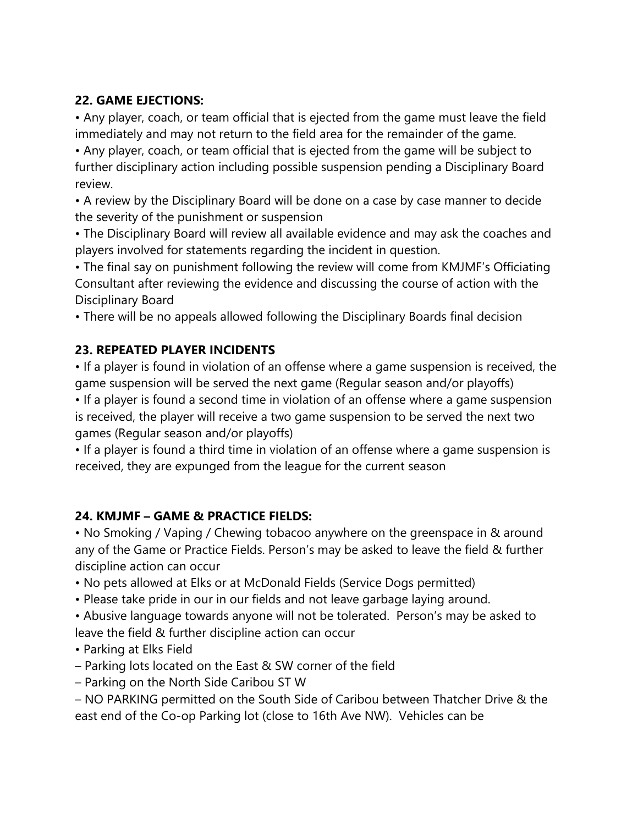## **22. GAME EJECTIONS:**

• Any player, coach, or team official that is ejected from the game must leave the field immediately and may not return to the field area for the remainder of the game.

• Any player, coach, or team official that is ejected from the game will be subject to further disciplinary action including possible suspension pending a Disciplinary Board review.

• A review by the Disciplinary Board will be done on a case by case manner to decide the severity of the punishment or suspension

• The Disciplinary Board will review all available evidence and may ask the coaches and players involved for statements regarding the incident in question.

• The final say on punishment following the review will come from KMJMF's Officiating Consultant after reviewing the evidence and discussing the course of action with the Disciplinary Board

• There will be no appeals allowed following the Disciplinary Boards final decision

## **23. REPEATED PLAYER INCIDENTS**

• If a player is found in violation of an offense where a game suspension is received, the game suspension will be served the next game (Regular season and/or playoffs)

• If a player is found a second time in violation of an offense where a game suspension is received, the player will receive a two game suspension to be served the next two games (Regular season and/or playoffs)

• If a player is found a third time in violation of an offense where a game suspension is received, they are expunged from the league for the current season

# **24. KMJMF – GAME & PRACTICE FIELDS:**

• No Smoking / Vaping / Chewing tobacoo anywhere on the greenspace in & around any of the Game or Practice Fields. Person's may be asked to leave the field & further discipline action can occur

- No pets allowed at Elks or at McDonald Fields (Service Dogs permitted)
- Please take pride in our in our fields and not leave garbage laying around.
- Abusive language towards anyone will not be tolerated. Person's may be asked to leave the field & further discipline action can occur
- Parking at Elks Field
- Parking lots located on the East & SW corner of the field
- Parking on the North Side Caribou ST W
- NO PARKING permitted on the South Side of Caribou between Thatcher Drive & the east end of the Co-op Parking lot (close to 16th Ave NW). Vehicles can be